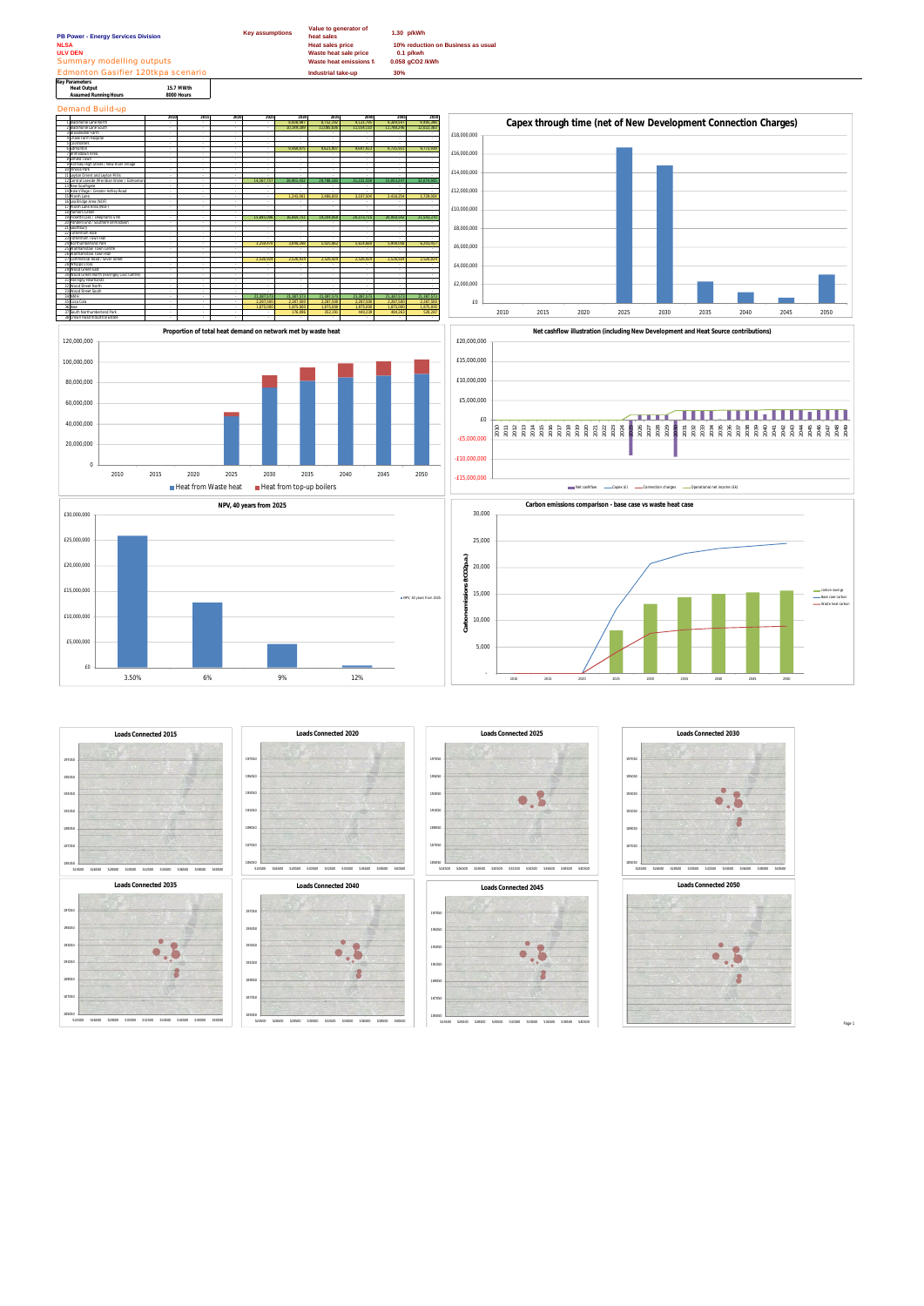**Key Parameters Heat Output 15.7 MWth Assumed Running Hours 8000 Hours**

Demand Build-up



Page 1











189050





189050





189050

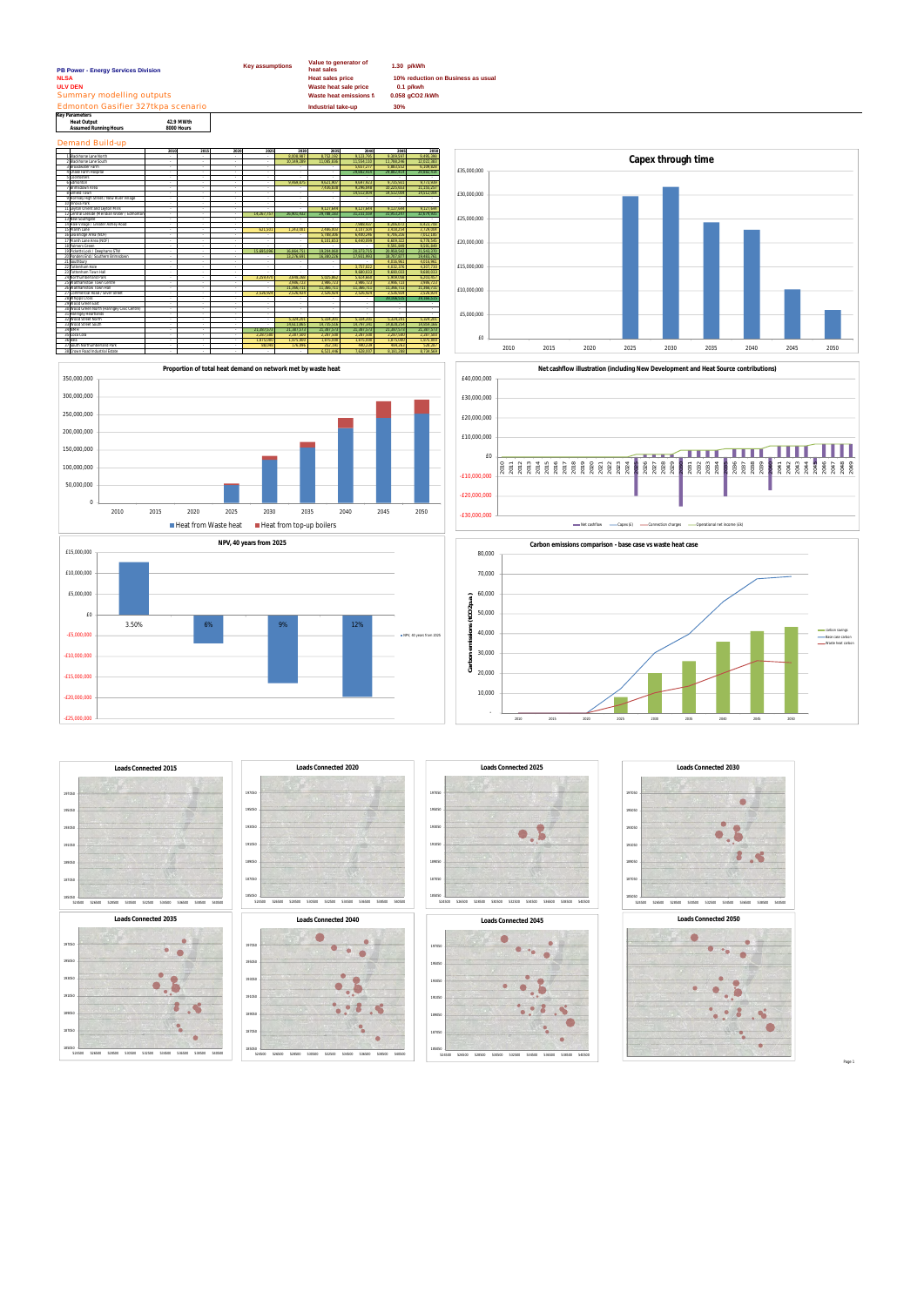Page 1





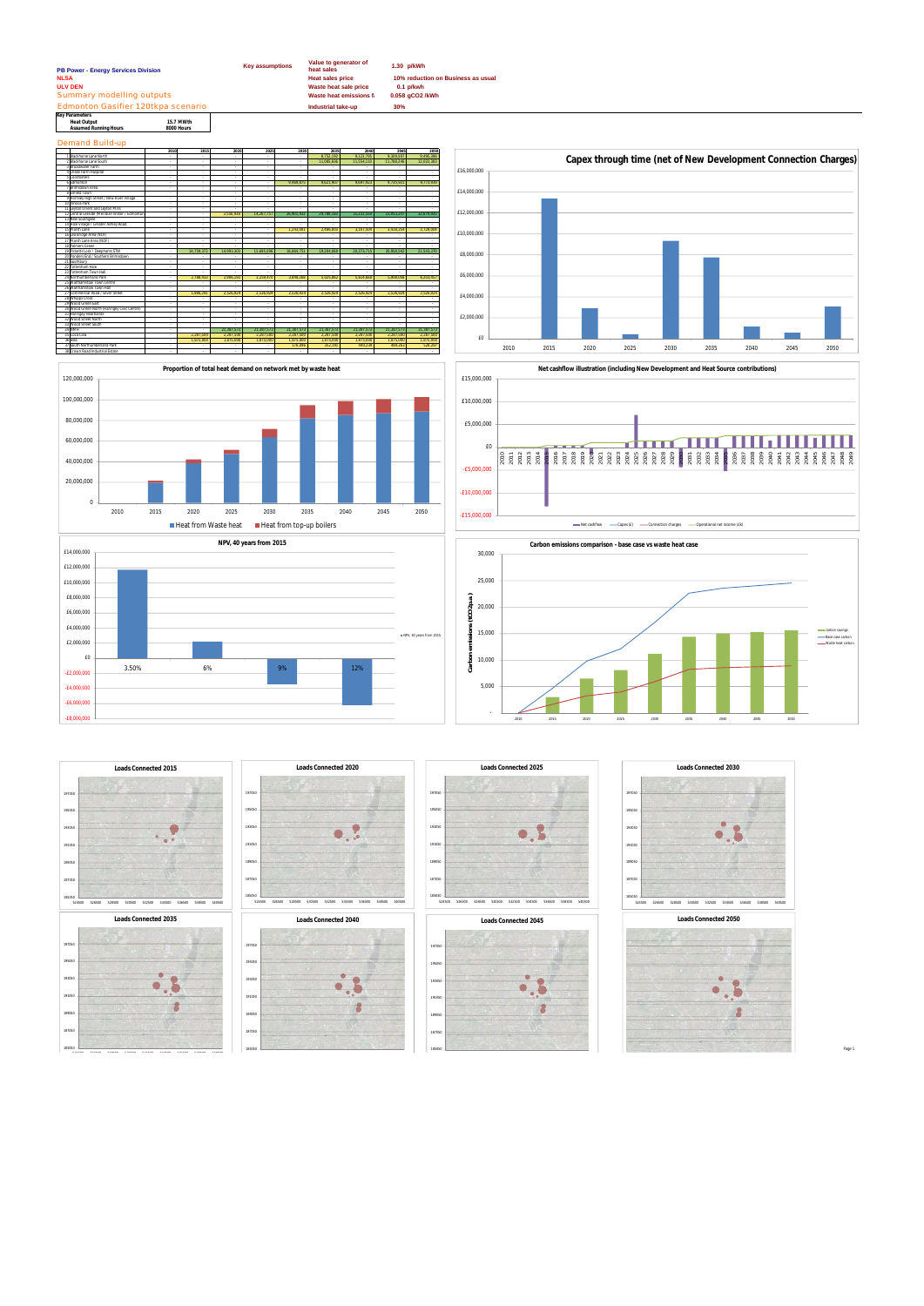| <b>Key assumptions</b><br>PB Power - Energy Services Division          |      |            | Value to generator of<br>1.30 p/kWh<br>heat sales |                                                  |                      |                                                   |                      |                      |                     |             |                                                                                     |      |      |                                                                |      |      |      |      |      |
|------------------------------------------------------------------------|------|------------|---------------------------------------------------|--------------------------------------------------|----------------------|---------------------------------------------------|----------------------|----------------------|---------------------|-------------|-------------------------------------------------------------------------------------|------|------|----------------------------------------------------------------|------|------|------|------|------|
| <b>NLSA</b>                                                            |      |            | <b>Heat sales price</b>                           |                                                  |                      | 10% reduction on Business as usual<br>$0.1$ p/kwh |                      |                      |                     |             |                                                                                     |      |      |                                                                |      |      |      |      |      |
| <b>ULV DEN</b>                                                         |      |            |                                                   | Waste heat sale price                            |                      |                                                   |                      |                      |                     |             |                                                                                     |      |      |                                                                |      |      |      |      |      |
| Summary modelling outputs                                              |      |            |                                                   | <b>Waste heat emissions f</b><br>0.058 gCO2 /kWh |                      |                                                   |                      |                      |                     |             |                                                                                     |      |      |                                                                |      |      |      |      |      |
| Edmonton Gasifier 120tkpa scenario                                     |      |            | Industrial take-up                                |                                                  | 30%                  |                                                   |                      |                      |                     |             |                                                                                     |      |      |                                                                |      |      |      |      |      |
| <b>Key Parameters</b><br><b>Heat Output</b>                            |      |            |                                                   |                                                  |                      |                                                   |                      |                      |                     |             |                                                                                     |      |      |                                                                |      |      |      |      |      |
| 15.7 MWth<br>8000 Hours<br><b>Assumed Running Hours</b>                |      |            |                                                   |                                                  |                      |                                                   |                      |                      |                     |             |                                                                                     |      |      |                                                                |      |      |      |      |      |
| <b>Demand Build-up</b>                                                 |      |            |                                                   |                                                  |                      |                                                   |                      |                      |                     |             |                                                                                     |      |      |                                                                |      |      |      |      |      |
|                                                                        | 2010 | 2015       | 2020                                              | 2025                                             | 2030                 | 2035                                              | 2040                 | 2045                 | 2050                |             |                                                                                     |      |      |                                                                |      |      |      |      |      |
| 1 Blackhorse Lane North                                                |      | $\sim$     |                                                   |                                                  |                      | 8,752,192                                         | 9,123,795            | 9,309,597            | 9,495,398           |             |                                                                                     |      |      | Capex through time (net of New Development Connection Charges) |      |      |      |      |      |
| 2 Blackhorse Lane South<br>3 Broadwater Farm                           |      |            |                                                   |                                                  |                      | 11.085.836                                        | 11.554.110           | 11.788.246           | 12.022.383          |             |                                                                                     |      |      |                                                                |      |      |      |      |      |
| 4 Chase Farm Hospital                                                  |      |            |                                                   |                                                  |                      |                                                   |                      |                      |                     | £16,000,000 |                                                                                     |      |      |                                                                |      |      |      |      |      |
| 5 Cockfosters                                                          |      |            |                                                   |                                                  |                      |                                                   |                      |                      |                     |             |                                                                                     |      |      |                                                                |      |      |      |      |      |
| 6 Edmonton                                                             |      |            |                                                   |                                                  | 9,469,875            | 9,621,907                                         | 9,697,923            | 9,735,931            | 9,773,939           |             |                                                                                     |      |      |                                                                |      |      |      |      |      |
| Brimsdown Area                                                         |      |            |                                                   |                                                  |                      |                                                   |                      |                      |                     | £14,000,000 |                                                                                     |      |      |                                                                |      |      |      |      |      |
| 8 Enfield Town<br>9 Hornsey High Street / New River Village            |      | $\sim$     |                                                   |                                                  |                      | $\sim$                                            | $\sim$               |                      |                     |             |                                                                                     |      |      |                                                                |      |      |      |      |      |
| 10 Innova Park                                                         |      |            |                                                   |                                                  |                      |                                                   |                      |                      |                     |             |                                                                                     |      |      |                                                                |      |      |      |      |      |
| 11 Leyton Orient and Leyton Mills                                      |      |            |                                                   |                                                  |                      |                                                   |                      |                      |                     |             |                                                                                     |      |      |                                                                |      |      |      |      |      |
| 12 Central Leeside (Meridian Water / Edmontor                          |      |            | 3.556.938                                         | 14.267.757                                       | 26.901.432           | 29.788.183                                        | 31.231.559           | 31.953.247           | 32.674.93           | £12,000,000 |                                                                                     |      |      |                                                                |      |      |      |      |      |
| 13 New Southgate                                                       |      |            |                                                   |                                                  |                      | $\sim$                                            |                      |                      |                     |             |                                                                                     |      |      |                                                                |      |      |      |      |      |
| 14 Hale Village / Greater Ashley Road<br>15 Marsh Lane                 |      |            |                                                   |                                                  | 1,243,00             | 2,486,003                                         | 3,107,504            | 3,418,254            | 3,729,004           |             |                                                                                     |      |      |                                                                |      |      |      |      |      |
| 16 Lea Bridge Area (NOF)                                               |      |            |                                                   |                                                  |                      |                                                   |                      |                      |                     | £10,000,000 |                                                                                     |      |      |                                                                |      |      |      |      |      |
| 17 Marsh Lane Area (NOF)                                               |      |            |                                                   |                                                  |                      |                                                   |                      |                      |                     |             |                                                                                     |      |      |                                                                |      |      |      |      |      |
| 18 Palmers Green                                                       |      |            |                                                   |                                                  |                      | in 1919.                                          |                      |                      |                     |             |                                                                                     |      |      |                                                                |      |      |      |      |      |
| 19 Picketts Lock / Deephams STW<br>20 Ponders End / Southern Brimsdown |      | 14,759,372 | 14,993,303                                        | 15,695,096                                       | 16,864,751           | 19,204,060                                        | 20,373,715           | 20,958,542           | 21,543,370          | £8,000,000  |                                                                                     |      |      |                                                                |      |      |      |      |      |
| 21 Southbury                                                           |      |            |                                                   |                                                  |                      |                                                   |                      |                      |                     |             |                                                                                     |      |      |                                                                |      |      |      |      |      |
| 22 Tottenham Hale                                                      |      |            |                                                   |                                                  |                      |                                                   |                      |                      |                     |             |                                                                                     |      |      |                                                                |      |      |      |      |      |
| 23 Tottenham Town Hall                                                 |      |            |                                                   |                                                  |                      |                                                   |                      |                      |                     | £6,000,000  |                                                                                     |      |      |                                                                |      |      |      |      |      |
| 24 Northumberland Park                                                 |      | 2,788,433  | 2,906,192                                         | 3,259,470                                        | 3,848,268            | 5,025,862                                         | 5,614,660            | 5,909,058            | 6,203,457           |             |                                                                                     |      |      |                                                                |      |      |      |      |      |
| 25 Walthamstow Town Centre<br>26 Walthamstow Town Hall                 |      |            |                                                   |                                                  |                      |                                                   |                      |                      |                     |             |                                                                                     |      |      |                                                                |      |      |      |      |      |
| 27 Commercial Road / Silver Street                                     |      | 1.986.291  | 2.526.924                                         | 2.526.924                                        | 2.526.924            | 2.526.924                                         | 2.526.924            | 2.526.924            | 2.526.924           |             |                                                                                     |      |      |                                                                |      |      |      |      |      |
| 28 Whipps Cross                                                        |      |            |                                                   |                                                  |                      | $\sim$                                            |                      |                      |                     | £4,000,000  |                                                                                     |      |      |                                                                |      |      |      |      |      |
| 29 Wood Green East                                                     |      |            |                                                   |                                                  |                      | $\sim$                                            |                      |                      |                     |             |                                                                                     |      |      |                                                                |      |      |      |      |      |
| 30 Wood Green North (Haringey Civic Centre)<br>31 Haringey Heartlands  |      |            |                                                   |                                                  |                      | $\sim$<br>$\sim$                                  | $\sim$               | $\sim$               |                     |             |                                                                                     |      |      |                                                                |      |      |      |      |      |
| 32 Wood Street North                                                   |      |            |                                                   |                                                  |                      | $\sim$                                            |                      |                      |                     | £2,000,000  |                                                                                     |      |      |                                                                |      |      |      |      |      |
| 33 Wood Street South                                                   |      |            |                                                   |                                                  |                      | $\sim$                                            |                      |                      |                     |             |                                                                                     |      |      |                                                                |      |      |      |      |      |
| 34 NMH                                                                 |      |            | 21,387,573                                        | 21,387,573                                       | 21,387,57            | 21,387,573                                        | 21,387,573           | 21,387,573           | 21,387,57           |             |                                                                                     |      |      |                                                                |      |      |      |      |      |
| 35 Coca Cola                                                           |      | 2,287,500  | 2,287,500                                         | 2,287,500                                        | 2,287,500            | 2,287,500                                         | 2,287,500            | 2,287,500            | 2,287,50            | £0          |                                                                                     |      |      |                                                                |      |      |      |      |      |
| 36 ikea<br>37 South Northumberland Park                                |      | 1,875,000  | 1,875,000                                         | 1,875,000                                        | 1,875,000<br>176.096 | 1,875,000<br>352,191                              | 1,875,000<br>440,239 | 1,875,000<br>484,263 | 1,875,000<br>528,28 |             |                                                                                     |      |      |                                                                |      |      |      |      |      |
| 38 Crown Road Industrial Estate                                        |      |            |                                                   |                                                  |                      |                                                   |                      |                      |                     |             | 2010                                                                                | 2015 | 2020 | 2025                                                           | 2030 | 2035 | 2040 | 2045 | 2050 |
|                                                                        |      |            |                                                   |                                                  |                      |                                                   |                      |                      |                     |             |                                                                                     |      |      |                                                                |      |      |      |      |      |
|                                                                        |      |            |                                                   |                                                  |                      |                                                   |                      |                      |                     |             |                                                                                     |      |      |                                                                |      |      |      |      |      |
| Proportion of total heat demand on network met by waste heat           |      |            |                                                   |                                                  |                      |                                                   |                      |                      |                     |             | Net cashflow illustration (including New Development and Heat Source contributions) |      |      |                                                                |      |      |      |      |      |
| 120,000,000                                                            |      |            |                                                   |                                                  |                      |                                                   |                      |                      |                     | £15,000,000 |                                                                                     |      |      |                                                                |      |      |      |      |      |
|                                                                        |      |            |                                                   |                                                  |                      |                                                   |                      |                      |                     |             |                                                                                     |      |      |                                                                |      |      |      |      |      |
|                                                                        |      |            |                                                   |                                                  |                      |                                                   |                      |                      |                     |             |                                                                                     |      |      |                                                                |      |      |      |      |      |
| 100,000,000                                                            |      |            |                                                   |                                                  |                      |                                                   |                      |                      |                     |             |                                                                                     |      |      |                                                                |      |      |      |      |      |
|                                                                        |      |            |                                                   |                                                  |                      |                                                   |                      |                      |                     | £10,000,000 |                                                                                     |      |      |                                                                |      |      |      |      |      |
|                                                                        |      |            |                                                   |                                                  |                      |                                                   |                      |                      |                     |             |                                                                                     |      |      |                                                                |      |      |      |      |      |

Page 1











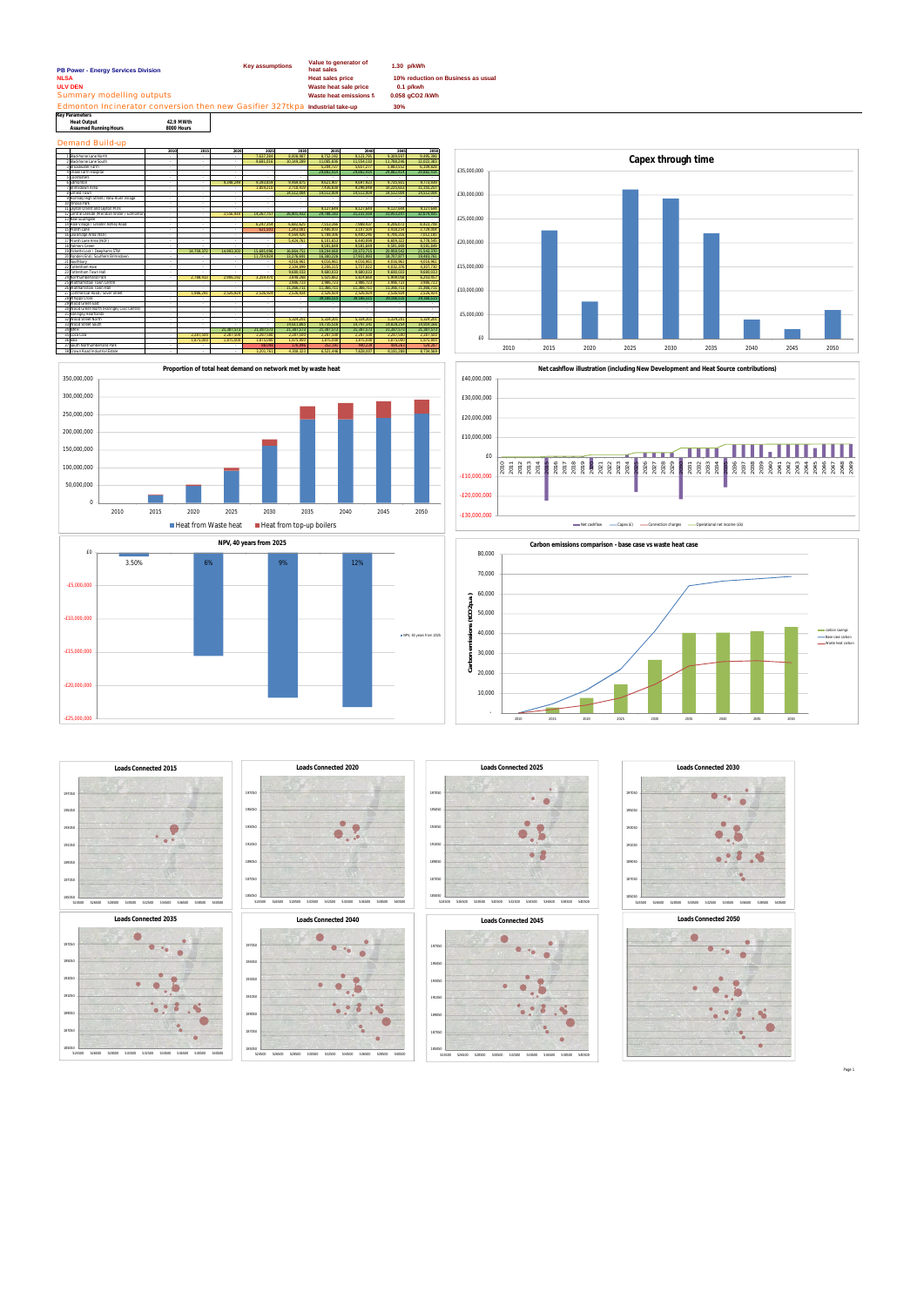| <b>Key Parameters</b>        |            |
|------------------------------|------------|
| <b>Heat Output</b>           | 42.9 MWth  |
| <b>Assumed Running Hours</b> | 8000 Hours |

Demand Build-up

| PB Power - Energy Services Division                                          | <b>Key assumptions</b> | Value to generator of<br>heat sales | 1.30 p/kWh                         |
|------------------------------------------------------------------------------|------------------------|-------------------------------------|------------------------------------|
| <b>NLSA</b>                                                                  |                        | <b>Heat sales price</b>             | 10% reduction on Business as usual |
| <b>ULV DEN</b>                                                               |                        | Waste heat sale price               | $0.1$ p/kwh                        |
| Summary modelling outputs                                                    |                        | Waste heat emissions f              | 0.058 aCO2 /kWh                    |
| Edmonton Incinerator conversion then new Gasifier 327tkpa Industrial take-up |                        |                                     | 30%                                |















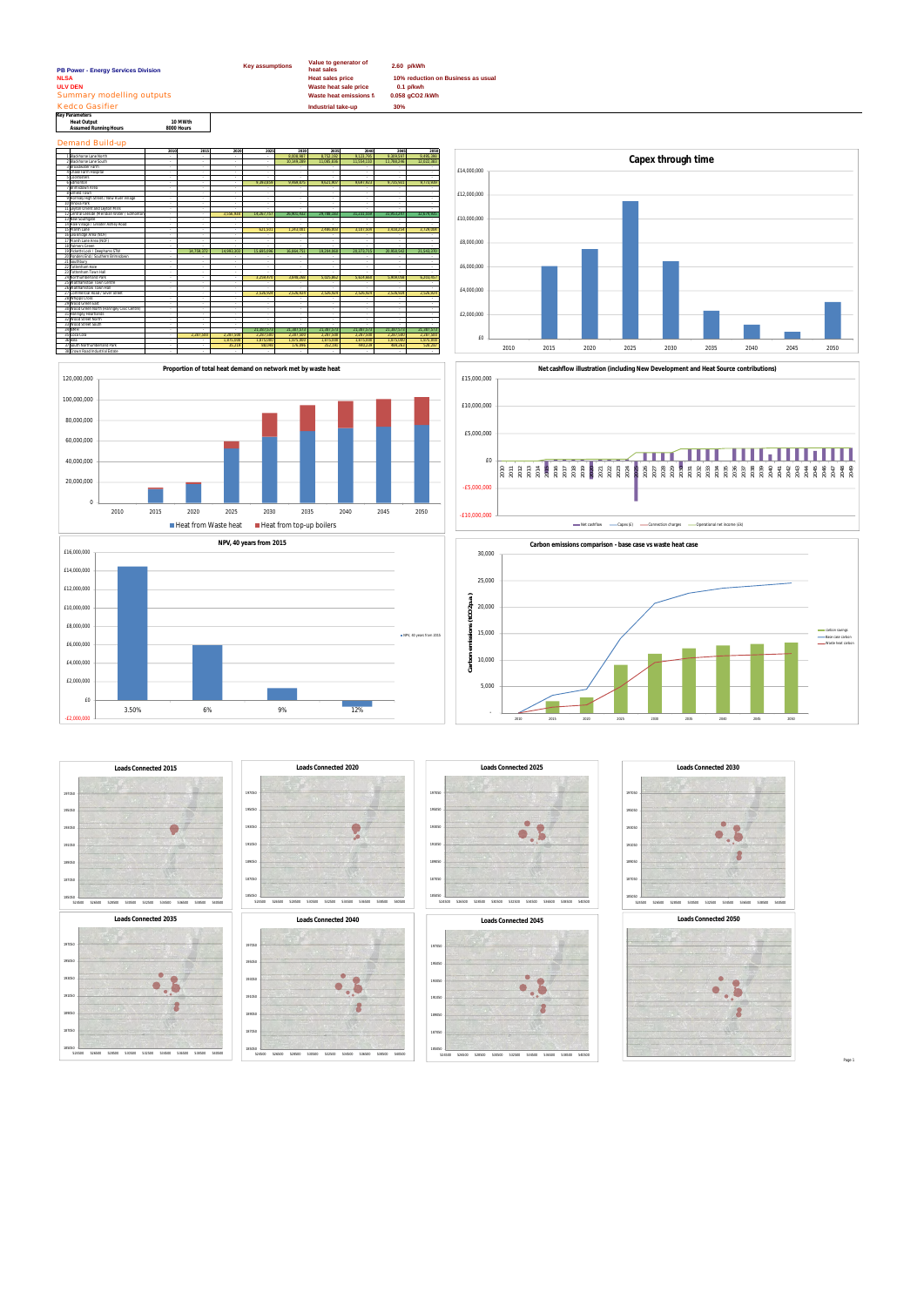| <b>PB Power - Energy Services Division</b>                           |                       | <b>Key assumptions</b> | Value to generator of<br>heat sales                                        | 2.60 p/kWh                                                           |  |  |
|----------------------------------------------------------------------|-----------------------|------------------------|----------------------------------------------------------------------------|----------------------------------------------------------------------|--|--|
| <b>NLSA</b><br><b>ULV DEN</b><br>Summary modelling outputs           |                       |                        | <b>Heat sales price</b><br>Waste heat sale price<br>Waste heat emissions f | 10% reduction on Business as usual<br>$0.1$ p/kwh<br>0.058 gCO2 /kWh |  |  |
| Kedco Gasifier                                                       |                       |                        | Industrial take-up                                                         | 30%                                                                  |  |  |
| Key Parameters<br><b>Heat Output</b><br><b>Assumed Running Hours</b> | 10 MWth<br>8000 Hours |                        |                                                                            |                                                                      |  |  |
| <b>Demand Build-up</b>                                               |                       |                        |                                                                            |                                                                      |  |  |
|                                                                      | 2010<br>2015          | 2020<br>2025           | 2030<br>2035<br>2040                                                       | 2050<br>2045                                                         |  |  |















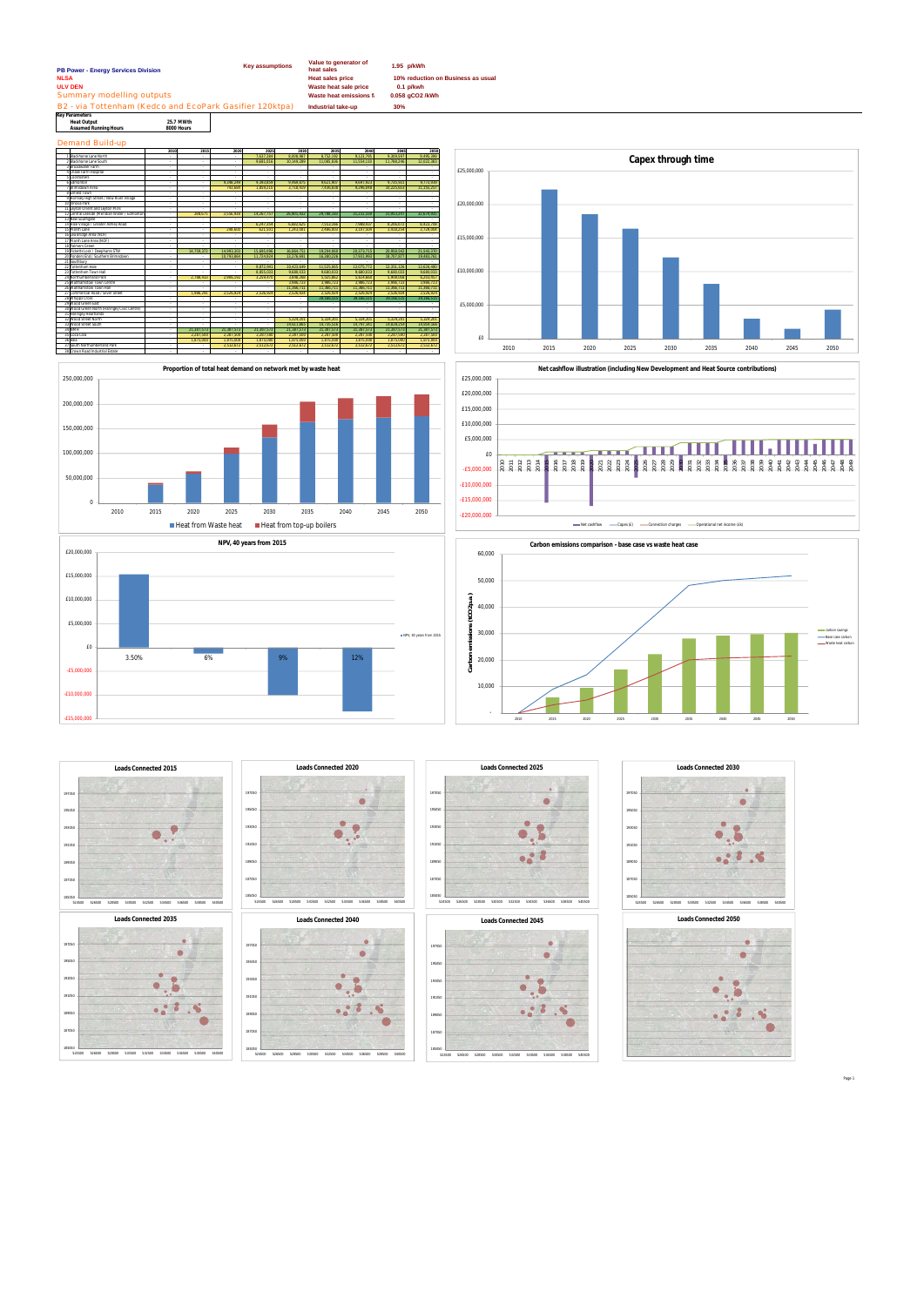33|Wood Street South 14,611,865 | 14,735,516 | 14,797,341 | 14,828,254 | 14,859,166 34|NMH - 21,387,573 21,387,573 21,387,573 21,387,573 21,387,573 21,387,573 21,387,573 21,387,573 21,387,573 21, 35|Coca Cola - 2,287,500 | 2,287,500 | 2,287,500 | 2,287,500 | 2,287,500 | 2,287,500 | 2,287,500 | 2,287,500 | 2,287,500 | 2,287,500 | 2,287,500 | 2,287,500 | 2,287,500 | 2,287,500 | 2,287,500 | 2,287,500 | 2,287,500 | 2,2 36|ikea - 1,875,000 | 1,875,000 | 1,875,000 | 1,875,000 | 1,875,000 | 1,875,000 | 1,875,000 | 1,875,000 | 1,875,000 | 1,875,000 | 1,875,000 | 1,875,000 | 1,875,000 | 1,875,000 | 1,875,000 | 1,875,000 | 1,875,000 | 1,875,00 37 South Northumberland Park - - 2,512,672 2,512,672 2,512,672 2,512,672 2,512,672 2,512,672 2,512,672 38 Crown Road Industrial Estate - - - - - - - - -

| PB Power - Energy Services Division                     | <b>Key assumptions</b> |            |            | Value to generator of<br>heat sales |                         |                       | 1.95 p/kWh             |                                    |                 |             |  |  |
|---------------------------------------------------------|------------------------|------------|------------|-------------------------------------|-------------------------|-----------------------|------------------------|------------------------------------|-----------------|-------------|--|--|
| <b>NLSA</b>                                             |                        |            |            |                                     | <b>Heat sales price</b> |                       |                        | 10% reduction on Business as usual |                 |             |  |  |
| <b>ULV DEN</b>                                          |                        |            |            |                                     |                         |                       |                        |                                    | $0.1$ p/kwh     |             |  |  |
|                                                         |                        |            |            |                                     |                         | Waste heat sale price |                        |                                    |                 |             |  |  |
| Summary modelling outputs                               |                        |            |            |                                     |                         |                       | Waste heat emissions f |                                    | 0.058 gCO2 /kWh |             |  |  |
| B2 - via Tottenham (Kedco and EcoPark Gasifier 120ktpa) |                        |            |            |                                     |                         | Industrial take-up    |                        | 30%                                |                 |             |  |  |
| <b>Key Parameters</b>                                   |                        |            |            |                                     |                         |                       |                        |                                    |                 |             |  |  |
| <b>Heat Output</b>                                      |                        | 25.7 MWth  |            |                                     |                         |                       |                        |                                    |                 |             |  |  |
| <b>Assumed Running Hours</b>                            | 8000 Hours             |            |            |                                     |                         |                       |                        |                                    |                 |             |  |  |
| <b>Demand Build-up</b>                                  |                        |            |            |                                     |                         |                       |                        |                                    |                 |             |  |  |
|                                                         | 2010                   | 2015       | 2020       | 2025                                | 2030                    | 2035                  | 2040                   | 2045                               | 2050            |             |  |  |
| 1 Blackhorse Lane North                                 | ×                      | $\sim$     | $\sim$     | 7.637.384                           | 8.008.987               | 8.752.192             | 9.123.795              | 9.309.597                          | 9.495.398       |             |  |  |
| 2 Blackhorse Lane South                                 | ×                      | $\sim$     | ÷          | 9,681,016                           | 10.149.289              | 11.085.836            | 11.554.110             | 11.788.246                         | 12.022.383      |             |  |  |
| 3 Broadwater Farm                                       | ×                      | $\sim$     | ÷          |                                     | $\sim$                  | $\sim$                | $\sim$                 |                                    |                 | £25.000.000 |  |  |
| 4 Chase Farm Hospital                                   | ×                      | $\sim$     | ÷          | ×.                                  | ÷                       | $\sim$                | $\sim$                 | $\sim$                             |                 |             |  |  |
| 5 Cockfosters                                           | $\sim$                 | $\sim$     | ÷          | ÷.                                  | ÷                       | $\sim$                | $\sim$                 |                                    |                 |             |  |  |
| 6 Edmonton                                              | $\sim$                 | $\sim$     | 9.348.249  | 9.393.859                           | 9.469.875               | 9.621.907             | 9.697.923              | 9.735.931                          | 9.773.939       |             |  |  |
| 7 Reimsdown Area                                        | $\sim$                 | $\sim$     | 743.684    | 1.859.210                           | 3.718.419               | 7.436.838             | 9.296.048              | 10.225.653                         | 11.155.257      |             |  |  |
| 8 Enfield Town                                          | $\sim$                 | $\sim$     | $\sim$     | ×.                                  | $\sim$                  |                       | $\sim$                 |                                    |                 |             |  |  |
| 9 Hornsey High Street / New River Village               | $\sim$                 | $\sim$     | $\sim$     | ×.                                  | $\epsilon$              | $\sim$                | $\sim$                 | $\sim$                             | $\sim$          |             |  |  |
| 10 Innova Park                                          | $\sim$                 | $\sim$     | $\sim$     | ×.                                  | $\sim$                  | $\sim$                | $\sim$                 | $\sim$                             | $\sim$          | £20,000,000 |  |  |
| 11 Levton Orient and Levton Mills                       | $\sim$                 | $\sim$     | $\sim$     |                                     | i.                      | ×.                    | $\sim$                 |                                    |                 |             |  |  |
| 12 Central Leeside (Meridian Water / Edmonton           | ×                      | 288.675    | 3.556.938  | 14.267.757                          | 26.901.432              | 29.788.183            | 31.231.559             | 31.953.247                         | 32.674.935      |             |  |  |
| 13 New Southgate                                        | $\sim$                 | $\sim$     | $\sim$     | ÷.                                  | ÷.                      | ÷.                    |                        |                                    |                 |             |  |  |
| 14 Hale Village / Greater Ashley Road                   | ×                      | $\sim$     | ÷          | 6.247.354                           | 6.682.625               | 7.553.166             | 7.988.437              | 8.206.072                          | 8.423.708       |             |  |  |
| 15 Marsh Lane                                           | $\sim$                 | $\sim$     | 248.600    | 621.501                             | 1.243.001               | 2.486.003             | 3.107.504              | 3.418.254                          | 3.729.004       |             |  |  |
| 16 Lea Bridge Area (NOF)                                | $\sim$                 | $\sim$     | $\sim$     | ÷.                                  | $\sim$                  | ×.                    | $\sim$                 | $\sim$                             |                 | £15,000,000 |  |  |
| 17 Marsh Lane Area (NOF)                                | . п.                   | $\sim$     | $\sim$     | $\sim$                              | $\sim$                  | $\sim$                | $\sim$                 | $\sim$                             | $\sim$          |             |  |  |
| 18 Palmers Green                                        | $\sim$                 | ÷.         | $\sim$     | ÷.                                  | ÷                       | ×.                    |                        |                                    |                 |             |  |  |
| 19 Picketts Lock / Deephams STW                         | $\sim$                 | 14.759.372 | 14.993.303 | 15,695,096                          | 16.864.751              | 19,204,060            | 20,373,715             | 20,958,542                         | 21,543,370      |             |  |  |
| 20 Ponders End / Southern Brimsdown                     | $\sim$                 | $\sim$     | 10,793,864 | 11,724,924                          | 13,276,691              | 16,380,226            | 17,931,993             | 18,707,877                         | 19,483,761      |             |  |  |
| 21 Southbury                                            | - 11                   | $\sim$     | $\sim$     | $\sim$                              | $\sim$                  | $\sim$                | - 11                   | $\sim$                             |                 |             |  |  |
| 22 Tottenham Hale                                       | . п.                   | $\sim$     | $\sim$     | 9.872.941                           | 10.423.649              | 11.525.065            | 12.075.772             | 12.351.126                         | 12,626,480      |             |  |  |
| 23 Tottenham Town Hall                                  | $\sim$                 | $\sim$     | $\sim$     | 8.855.033                           | 9.680.033               | 9.680.033             | 9.680.033              | 9.680.033                          | 9.680.033       | £10,000,000 |  |  |
| 24 Northumberland Park                                  | $\sim$                 | 2.788.433  | 2.906.192  | 3.259.470                           | 3.848.268               | 5.025.862             | 5.614.660              | 5.909.058                          | 6.203.457       |             |  |  |
| 25 Walthamstow Town Centre                              | $\sim$                 | $\sim$     | $\sim$     | $\sim$                              | 3.986.723               | 3.986.723             | 3.986.723              | 3.986.723                          | 3.986.723       |             |  |  |
| 26 Walthamstow Town Hall                                | $\sim$                 | $\sim$     | $\sim$     | i.                                  | 11.366.711              | 11.366.711            | 11.366.711             | 11.366.711                         | 11.366.711      |             |  |  |
| 27 Commercial Road / Silver Street                      | $\sim$                 | 1.986.291  | 2.526.924  | 2.526.924                           | 2.526.924               | 2,526,924             | 2.526.924              | 2.526.924                          | 2.526.924       |             |  |  |
| 28 Whipps Cross                                         | $\sim$                 | ×          | $\sim$     | $\sim$                              | ÷                       | 39.166.515            | 39.166.515             | 39,166,515                         | 39.166.515      |             |  |  |
| 29 Wood Green East                                      | $\sim$                 | $\sim$     | $\sim$     | $\sim$                              | $\sim$                  | $\sim$                | $\sim$                 | $\sim$                             |                 | £5,000,000  |  |  |
| 30 Wood Green North (Haringey Civic Centre)             | . п.                   | $\sim$     | $\sim$     | $\sim$                              | $\sim$                  | $\sim$                | $\sim$                 | и.                                 |                 |             |  |  |
| 31 Haringey Heartlands                                  | $\sim$                 | $\sim$     | $\sim$     | $\sim$                              | $\sim$                  | $\sim$                | $\sim$                 | $\sim$                             |                 |             |  |  |
| 32 Wood Street North                                    | $\sim$                 | $\sim$     | $\sim$     | $\sim$                              | 5.324.201               | 5.324.201             | 5.324.201              | 5.324.201                          | 5.324.201       |             |  |  |







-£15,000,000

-£10,000,000

-£5,000,000

£0

£5,000,000

£10,000,000

£15,000,000

£20,000,000

**NPV, 40 years from 2015**



carbon savings -<br>Base case carbo Waste heat carbon



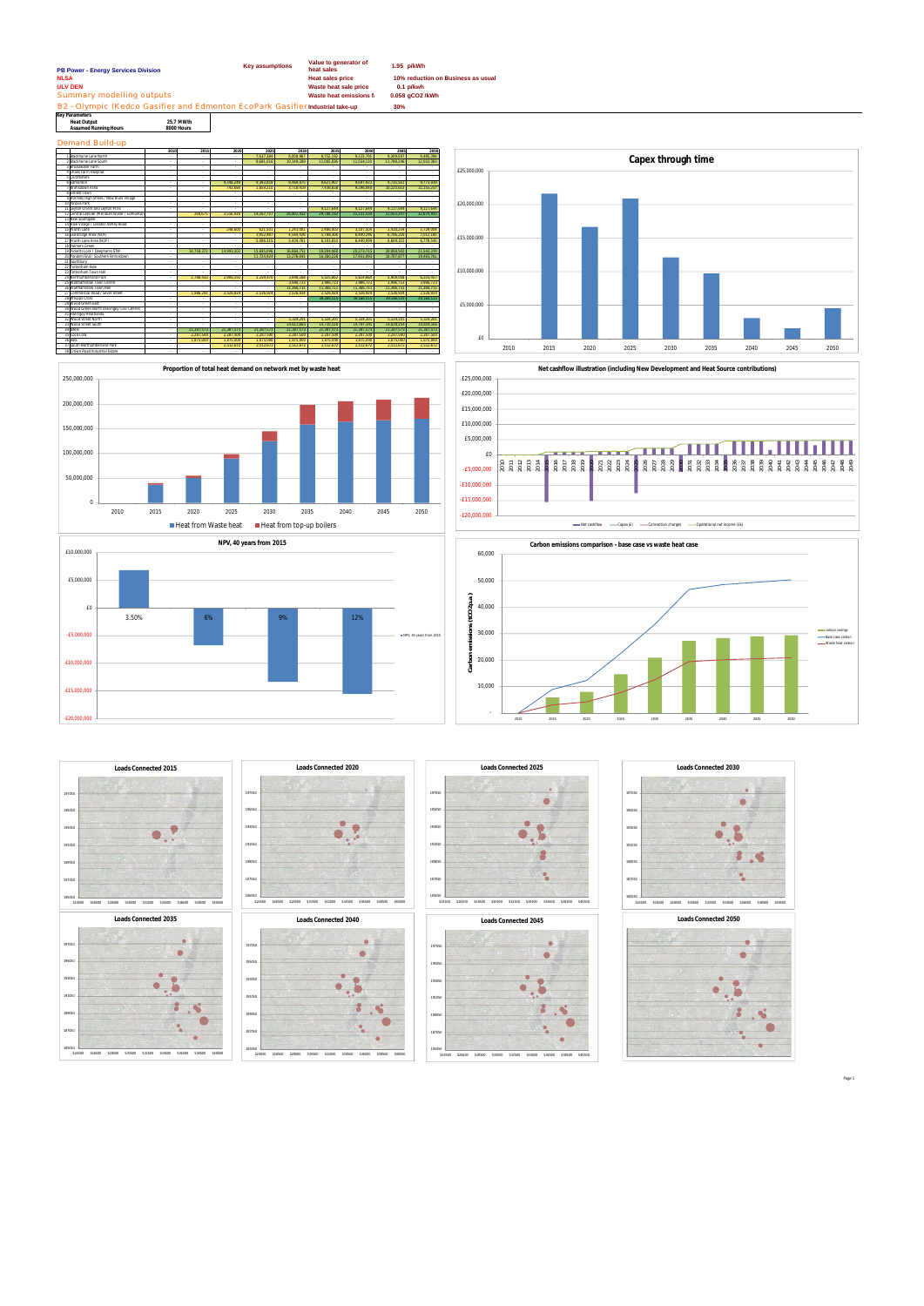**Key Parameters Heat Output 25.7 MWth Assumed Running Ho** 

Demand Build-up

| PB Power - Energy Services Division                                           | <b>Key assumptions</b> | Value to generator of<br>heat sales | 1.95 p/kWh                         |
|-------------------------------------------------------------------------------|------------------------|-------------------------------------|------------------------------------|
| <b>NLSA</b>                                                                   |                        | <b>Heat sales price</b>             | 10% reduction on Business as usual |
| <b>ULV DEN</b>                                                                |                        | Waste heat sale price               | $0.1$ p/kwh                        |
| Summary modelling outputs                                                     |                        | Waste heat emissions f              | 0.058 gCO2 /kWh                    |
| B2 - Olympic (Kedco Gasifier and Edmonton EcoPark Gasifier Industrial take-up |                        |                                     | 30%                                |
| $\overline{u}$ $\overline{u}$ $\overline{u}$ $\overline{u}$ $\overline{u}$    |                        |                                     |                                    |